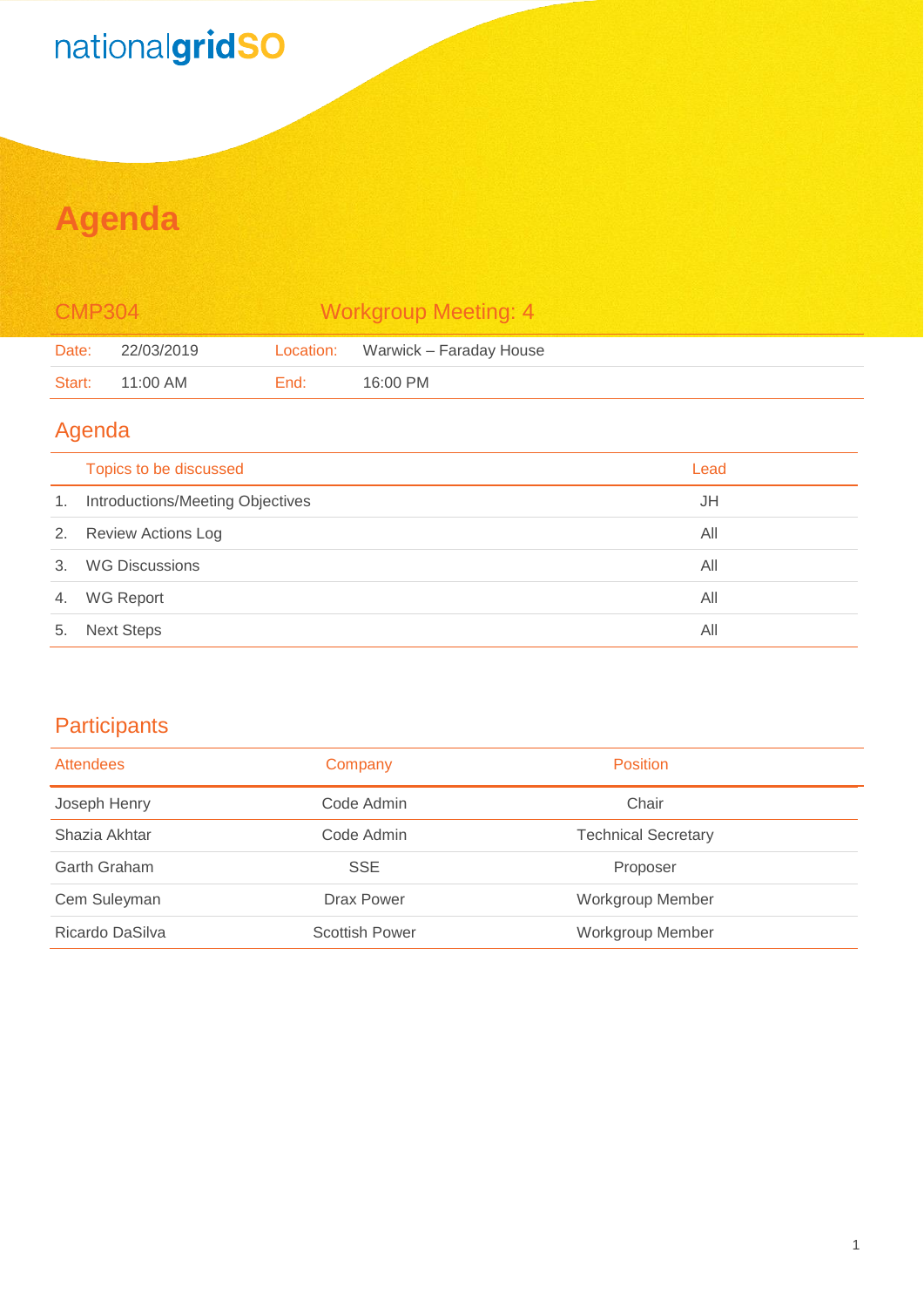# nationalgridSO

## **Agenda**

| <b>CMP304</b> |            |      | <b>Workgroup Meeting: 4</b>       |
|---------------|------------|------|-----------------------------------|
| Date:         | 22/03/2019 |      | Location: Warwick – Faraday House |
| Start:        | 11:00 AM   | End: | 16:00 PM                          |

#### Agenda

|    | Topics to be discussed           | Lead |
|----|----------------------------------|------|
| 1. | Introductions/Meeting Objectives | JH   |
| 2. | <b>Review Actions Log</b>        | All  |
| 3. | <b>WG Discussions</b>            | All  |
| 4. | <b>WG Report</b>                 | All  |
| 5. | <b>Next Steps</b>                | All  |

#### **Participants**

| <b>Attendees</b> | Company               | <b>Position</b>            |
|------------------|-----------------------|----------------------------|
| Joseph Henry     | Code Admin            | Chair                      |
| Shazia Akhtar    | Code Admin            | <b>Technical Secretary</b> |
| Garth Graham     | <b>SSE</b>            | Proposer                   |
| Cem Suleyman     | Drax Power            | Workgroup Member           |
| Ricardo DaSilva  | <b>Scottish Power</b> | <b>Workgroup Member</b>    |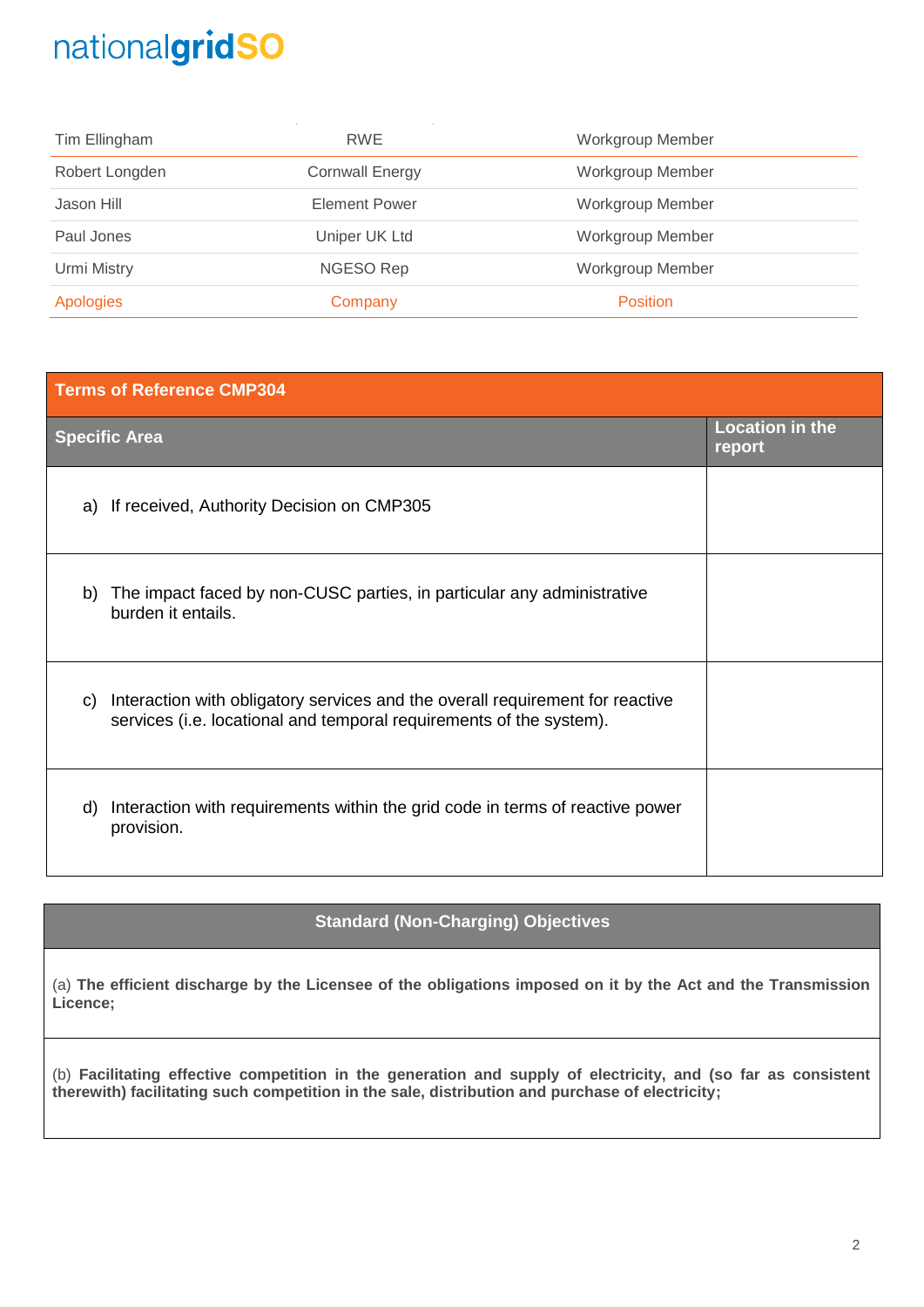## nationalgridSO

| Tim Ellingham    | <b>RWE</b>             | <b>Workgroup Member</b> |
|------------------|------------------------|-------------------------|
| Robert Longden   | <b>Cornwall Energy</b> | <b>Workgroup Member</b> |
| Jason Hill       | <b>Element Power</b>   | <b>Workgroup Member</b> |
| Paul Jones       | Uniper UK Ltd          | <b>Workgroup Member</b> |
| Urmi Mistry      | NGESO Rep              | <b>Workgroup Member</b> |
| <b>Apologies</b> | Company                | <b>Position</b>         |

# **Terms of Reference CMP304 Specific Area Location in the report** a) If received, Authority Decision on CMP305 b) The impact faced by non-CUSC parties, in particular any administrative burden it entails. c) Interaction with obligatory services and the overall requirement for reactive services (i.e. locational and temporal requirements of the system). d) Interaction with requirements within the grid code in terms of reactive power provision.

#### **Standard (Non-Charging) Objectives**

(a) **The efficient discharge by the Licensee of the obligations imposed on it by the Act and the Transmission Licence;**

(b) **Facilitating effective competition in the generation and supply of electricity, and (so far as consistent therewith) facilitating such competition in the sale, distribution and purchase of electricity;**